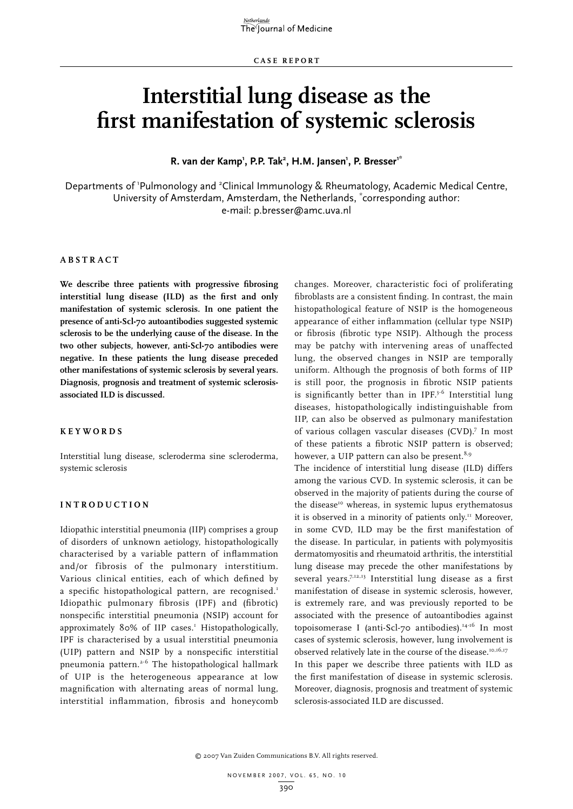# **Interstitial lung disease as the first manifestation of systemic sclerosis**

**R. van der Kamp1 , P.P. Tak2 , H.M. Jansen1 , P. Bresser1\***

Departments of 'Pulmonology and <sup>2</sup>Clinical Immunology & Rheumatology, Academic Medical Centre, University of Amsterdam, Amsterdam, the Netherlands, \* corresponding author: e-mail: p.bresser@amc.uva.nl

# **Abs t r act**

**We describe three patients with progressive fibrosing interstitial lung disease (ILD) as the first and only manifestation of systemic sclerosis. In one patient the presence of anti-Scl-70 autoantibodies suggested systemic sclerosis to be the underlying cause of the disease. In the two other subjects, however, anti-Scl-70 antibodies were negative. In these patients the lung disease preceded other manifestations of systemic sclerosis by several years. Diagnosis, prognosis and treatment of systemic sclerosisassociated ILD is discussed.** 

#### **K e y w ords**

Interstitial lung disease, scleroderma sine scleroderma, systemic sclerosis

#### **Int rod uct i o n**

Idiopathic interstitial pneumonia (IIP) comprises a group of disorders of unknown aetiology, histopathologically characterised by a variable pattern of inflammation and/or fibrosis of the pulmonary interstitium. Various clinical entities, each of which defined by a specific histopathological pattern, are recognised.<sup>1</sup> Idiopathic pulmonary fibrosis (IPF) and (fibrotic) nonspecific interstitial pneumonia (NSIP) account for approximately 80% of IIP cases.<sup>1</sup> Histopathologically, IPF is characterised by a usual interstitial pneumonia (UIP) pattern and NSIP by a nonspecific interstitial pneumonia pattern.2-6 The histopathological hallmark of UIP is the heterogeneous appearance at low magnification with alternating areas of normal lung, interstitial inflammation, fibrosis and honeycomb

changes. Moreover, characteristic foci of proliferating fibroblasts are a consistent finding. In contrast, the main histopathological feature of NSIP is the homogeneous appearance of either inflammation (cellular type NSIP) or fibrosis (fibrotic type NSIP). Although the process may be patchy with intervening areas of unaffected lung, the observed changes in NSIP are temporally uniform. Although the prognosis of both forms of IIP is still poor, the prognosis in fibrotic NSIP patients is significantly better than in IPF. $3-6$  Interstitial lung diseases, histopathologically indistinguishable from IIP, can also be observed as pulmonary manifestation of various collagen vascular diseases (CVD).<sup>7</sup> In most of these patients a fibrotic NSIP pattern is observed; however, a UIP pattern can also be present.<sup>8,9</sup>

The incidence of interstitial lung disease (ILD) differs among the various CVD. In systemic sclerosis, it can be observed in the majority of patients during the course of the disease<sup>10</sup> whereas, in systemic lupus erythematosus it is observed in a minority of patients only.<sup>11</sup> Moreover, in some CVD, ILD may be the first manifestation of the disease. In particular, in patients with polymyositis dermatomyositis and rheumatoid arthritis, the interstitial lung disease may precede the other manifestations by several years.<sup>7,12,13</sup> Interstitial lung disease as a first manifestation of disease in systemic sclerosis, however, is extremely rare, and was previously reported to be associated with the presence of autoantibodies against topoisomerase I (anti-Scl-70 antibodies).<sup>14-16</sup> In most cases of systemic sclerosis, however, lung involvement is observed relatively late in the course of the disease.<sup>10,16,17</sup> In this paper we describe three patients with ILD as the first manifestation of disease in systemic sclerosis. Moreover, diagnosis, prognosis and treatment of systemic sclerosis-associated ILD are discussed.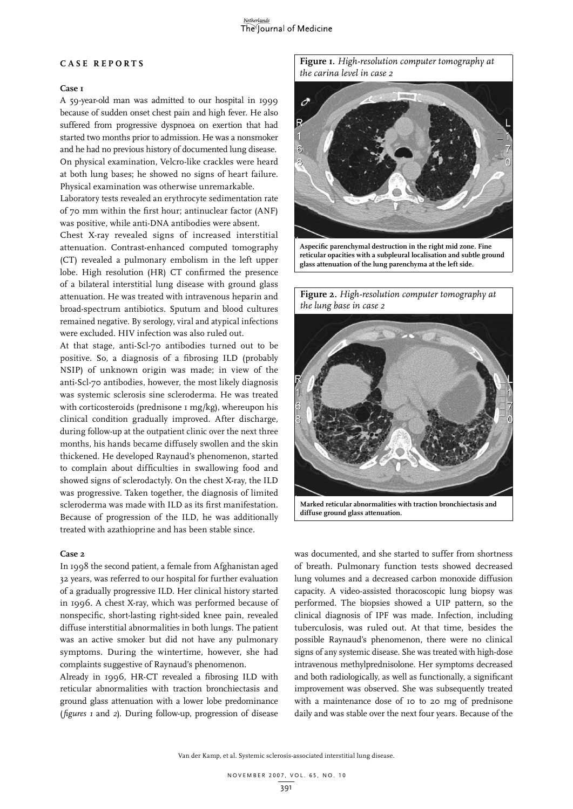# The Journal of Medicine

#### **C a s e r ep o r t s**

### **Case 1**

A 59-year-old man was admitted to our hospital in 1999 because of sudden onset chest pain and high fever. He also suffered from progressive dyspnoea on exertion that had started two months prior to admission. He was a nonsmoker and he had no previous history of documented lung disease. On physical examination, Velcro-like crackles were heard at both lung bases; he showed no signs of heart failure. Physical examination was otherwise unremarkable.

Laboratory tests revealed an erythrocyte sedimentation rate of 70 mm within the first hour; antinuclear factor (ANF) was positive, while anti-DNA antibodies were absent.

Chest X-ray revealed signs of increased interstitial attenuation. Contrast-enhanced computed tomography (CT) revealed a pulmonary embolism in the left upper lobe. High resolution (HR) CT confirmed the presence of a bilateral interstitial lung disease with ground glass attenuation. He was treated with intravenous heparin and broad-spectrum antibiotics. Sputum and blood cultures remained negative. By serology, viral and atypical infections were excluded. HIV infection was also ruled out.

At that stage, anti-Scl-70 antibodies turned out to be positive. So, a diagnosis of a fibrosing ILD (probably NSIP) of unknown origin was made; in view of the anti-Scl-70 antibodies, however, the most likely diagnosis was systemic sclerosis sine scleroderma. He was treated with corticosteroids (prednisone  $I mg/kg$ ), whereupon his clinical condition gradually improved. After discharge, during follow-up at the outpatient clinic over the next three months, his hands became diffusely swollen and the skin thickened. He developed Raynaud's phenomenon, started to complain about difficulties in swallowing food and showed signs of sclerodactyly. On the chest X-ray, the ILD was progressive. Taken together, the diagnosis of limited scleroderma was made with ILD as its first manifestation. Because of progression of the ILD, he was additionally treated with azathioprine and has been stable since.

## **Case 2**

In 1998 the second patient, a female from Afghanistan aged 32 years, was referred to our hospital for further evaluation of a gradually progressive ILD. Her clinical history started in 1996. A chest X-ray, which was performed because of nonspecific, short-lasting right-sided knee pain, revealed diffuse interstitial abnormalities in both lungs. The patient was an active smoker but did not have any pulmonary symptoms. During the wintertime, however, she had complaints suggestive of Raynaud's phenomenon.

Already in 1996, HR-CT revealed a fibrosing ILD with reticular abnormalities with traction bronchiectasis and ground glass attenuation with a lower lobe predominance (*figures 1* and *2*). During follow-up, progression of disease

**Figure 1.** *High-resolution computer tomography at the carina level in case 2*



**Aspecific parenchymal destruction in the right mid zone. Fine reticular opacities with a subpleural localisation and subtle ground glass attenuation of the lung parenchyma at the left side.**

**Figure 2.** *High-resolution computer tomography at the lung base in case 2*



**Marked reticular abnormalities with traction bronchiectasis and diffuse ground glass attenuation.**

was documented, and she started to suffer from shortness of breath. Pulmonary function tests showed decreased lung volumes and a decreased carbon monoxide diffusion capacity. A video-assisted thoracoscopic lung biopsy was performed. The biopsies showed a UIP pattern, so the clinical diagnosis of IPF was made. Infection, including tuberculosis, was ruled out. At that time, besides the possible Raynaud's phenomenon, there were no clinical signs of any systemic disease. She was treated with high-dose intravenous methylprednisolone. Her symptoms decreased and both radiologically, as well as functionally, a significant improvement was observed. She was subsequently treated with a maintenance dose of 10 to 20 mg of prednisone daily and was stable over the next four years. Because of the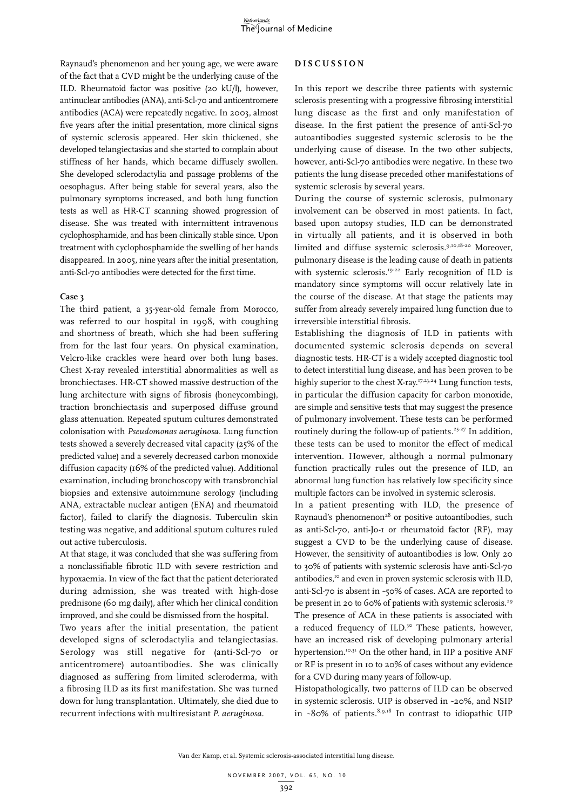Raynaud's phenomenon and her young age, we were aware of the fact that a CVD might be the underlying cause of the ILD. Rheumatoid factor was positive (20 kU/l), however, antinuclear antibodies (ANA), anti-Scl-70 and anticentromere antibodies (ACA) were repeatedly negative. In 2003, almost five years after the initial presentation, more clinical signs of systemic sclerosis appeared. Her skin thickened, she developed telangiectasias and she started to complain about stiffness of her hands, which became diffusely swollen. She developed sclerodactylia and passage problems of the oesophagus. After being stable for several years, also the pulmonary symptoms increased, and both lung function tests as well as HR-CT scanning showed progression of disease. She was treated with intermittent intravenous cyclophosphamide, and has been clinically stable since. Upon treatment with cyclophosphamide the swelling of her hands disappeared. In 2005, nine years after the initial presentation, anti-Scl-70 antibodies were detected for the first time.

#### **Case 3**

The third patient, a 35-year-old female from Morocco, was referred to our hospital in 1998, with coughing and shortness of breath, which she had been suffering from for the last four years. On physical examination, Velcro-like crackles were heard over both lung bases. Chest X-ray revealed interstitial abnormalities as well as bronchiectases. HR-CT showed massive destruction of the lung architecture with signs of fibrosis (honeycombing), traction bronchiectasis and superposed diffuse ground glass attenuation. Repeated sputum cultures demonstrated colonisation with *Pseudomonas aeruginosa*. Lung function tests showed a severely decreased vital capacity (25% of the predicted value) and a severely decreased carbon monoxide diffusion capacity (16% of the predicted value). Additional examination, including bronchoscopy with transbronchial biopsies and extensive autoimmune serology (including ANA, extractable nuclear antigen (ENA) and rheumatoid factor), failed to clarify the diagnosis. Tuberculin skin testing was negative, and additional sputum cultures ruled out active tuberculosis.

At that stage, it was concluded that she was suffering from a nonclassifiable fibrotic ILD with severe restriction and hypoxaemia. In view of the fact that the patient deteriorated during admission, she was treated with high-dose prednisone (60 mg daily), after which her clinical condition improved, and she could be dismissed from the hospital.

Two years after the initial presentation, the patient developed signs of sclerodactylia and telangiectasias. Serology was still negative for (anti-Scl-70 or anticentromere) autoantibodies. She was clinically diagnosed as suffering from limited scleroderma, with a fibrosing ILD as its first manifestation. She was turned down for lung transplantation. Ultimately, she died due to recurrent infections with multiresistant *P. aeruginosa.*

#### **D i s cu ssio n**

In this report we describe three patients with systemic sclerosis presenting with a progressive fibrosing interstitial lung disease as the first and only manifestation of disease. In the first patient the presence of anti-Scl-70 autoantibodies suggested systemic sclerosis to be the underlying cause of disease. In the two other subjects, however, anti-Scl-70 antibodies were negative. In these two patients the lung disease preceded other manifestations of systemic sclerosis by several years.

During the course of systemic sclerosis, pulmonary involvement can be observed in most patients. In fact, based upon autopsy studies, ILD can be demonstrated in virtually all patients, and it is observed in both limited and diffuse systemic sclerosis.9,10,18-20 Moreover, pulmonary disease is the leading cause of death in patients with systemic sclerosis.<sup>19-22</sup> Early recognition of ILD is mandatory since symptoms will occur relatively late in the course of the disease. At that stage the patients may suffer from already severely impaired lung function due to irreversible interstitial fibrosis.

Establishing the diagnosis of ILD in patients with documented systemic sclerosis depends on several diagnostic tests. HR-CT is a widely accepted diagnostic tool to detect interstitial lung disease, and has been proven to be highly superior to the chest X-ray.<sup>17,23,24</sup> Lung function tests, in particular the diffusion capacity for carbon monoxide, are simple and sensitive tests that may suggest the presence of pulmonary involvement. These tests can be performed routinely during the follow-up of patients.<sup>25-27</sup> In addition, these tests can be used to monitor the effect of medical intervention. However, although a normal pulmonary function practically rules out the presence of ILD, an abnormal lung function has relatively low specificity since multiple factors can be involved in systemic sclerosis.

In a patient presenting with ILD, the presence of Raynaud's phenomenon<sup>28</sup> or positive autoantibodies, such as anti-Scl-70, anti-Jo-1 or rheumatoid factor (RF), may suggest a CVD to be the underlying cause of disease. However, the sensitivity of autoantibodies is low. Only 20 to 30% of patients with systemic sclerosis have anti-Scl-70 antibodies,<sup>10</sup> and even in proven systemic sclerosis with ILD, anti-Scl-70 is absent in ~50% of cases. ACA are reported to be present in 20 to 60% of patients with systemic sclerosis.<sup>29</sup> The presence of ACA in these patients is associated with a reduced frequency of ILD.<sup>30</sup> These patients, however, have an increased risk of developing pulmonary arterial hypertension.<sup>10,31</sup> On the other hand, in IIP a positive ANF or RF is present in 10 to 20% of cases without any evidence for a CVD during many years of follow-up.

Histopathologically, two patterns of ILD can be observed in systemic sclerosis. UIP is observed in ~20%, and NSIP in ~80% of patients. $8,9,18$  In contrast to idiopathic UIP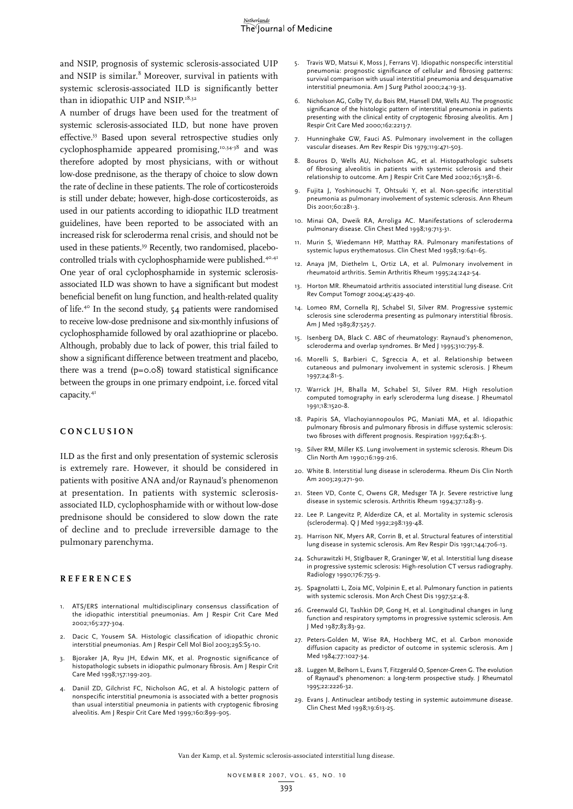and NSIP, prognosis of systemic sclerosis-associated UIP and NSIP is similar.<sup>8</sup> Moreover, survival in patients with systemic sclerosis-associated ILD is significantly better than in idiopathic UIP and NSIP.<sup>18,32</sup>

A number of drugs have been used for the treatment of systemic sclerosis-associated ILD, but none have proven effective.33 Based upon several retrospective studies only cyclophosphamide appeared promising,<sup>10,34-38</sup> and was therefore adopted by most physicians, with or without low-dose prednisone, as the therapy of choice to slow down the rate of decline in these patients. The role of corticosteroids is still under debate; however, high-dose corticosteroids, as used in our patients according to idiopathic ILD treatment guidelines, have been reported to be associated with an increased risk for scleroderma renal crisis, and should not be used in these patients.<sup>39</sup> Recently, two randomised, placebocontrolled trials with cyclophosphamide were published.<sup>40,41</sup> One year of oral cyclophosphamide in systemic sclerosisassociated ILD was shown to have a significant but modest beneficial benefit on lung function, and health-related quality of life.<sup>40</sup> In the second study, 54 patients were randomised to receive low-dose prednisone and six-monthly infusions of cyclophosphamide followed by oral azathioprine or placebo. Although, probably due to lack of power, this trial failed to show a significant difference between treatment and placebo, there was a trend (p=0.08) toward statistical significance between the groups in one primary endpoint, i.e. forced vital capacity.<sup>41</sup>

#### **C o nc l u sio n**

ILD as the first and only presentation of systemic sclerosis is extremely rare. However, it should be considered in patients with positive ANA and/or Raynaud's phenomenon at presentation. In patients with systemic sclerosisassociated ILD, cyclophosphamide with or without low-dose prednisone should be considered to slow down the rate of decline and to preclude irreversible damage to the pulmonary parenchyma.

#### **Re f e r ence s**

- 1. ATS/ERS international multidisciplinary consensus classification of the idiopathic interstitial pneumonias. Am J Respir Crit Care Med 2002;165:277-304.
- 2. Dacic C, Yousem SA. Histologic classification of idiopathic chronic interstitial pneumonias. Am J Respir Cell Mol Biol 2003;29S:S5-10.
- 3. Bjoraker JA, Ryu JH, Edwin MK, et al. Prognostic significance of histopathologic subsets in idiopathic pulmonary fibrosis. Am J Respir Crit Care Med 1998;157:199-203.
- 4. Daniil ZD, Gilchrist FC, Nicholson AG, et al. A histologic pattern of nonspecific interstitial pneumonia is associated with a better prognosis than usual interstitial pneumonia in patients with cryptogenic fibrosing alveolitis. Am J Respir Crit Care Med 1999;160:899-905.
- 5. Travis WD, Matsui K, Moss J, Ferrans VJ. Idiopathic nonspecific interstitial pneumonia: prognostic significance of cellular and fibrosing patterns: survival comparison with usual interstitial pneumonia and desquamative interstitial pneumonia. Am J Surg Pathol 2000;24:19-33.
- 6. Nicholson AG, Colby TV, du Bois RM, Hansell DM, Wells AU. The prognostic significance of the histologic pattern of interstitial pneumonia in patients presenting with the clinical entity of cryptogenic fibrosing alveolitis. Am J Respir Crit Care Med 2000;162:2213-7.
- 7. Hunninghake GW, Fauci AS. Pulmonary involvement in the collagen vascular diseases. Am Rev Respir Dis 1979;119:471-503.
- 8. Bouros D, Wells AU, Nicholson AG, et al. Histopathologic subsets of fibrosing alveolitis in patients with systemic sclerosis and their relationship to outcome. Am J Respir Crit Care Med 2002;165:1581-6.
- 9. Fujita J, Yoshinouchi T, Ohtsuki Y, et al. Non-specific interstitial pneumonia as pulmonary involvement of systemic sclerosis. Ann Rheum Dis 2001;60:281-3.
- 10. Minai OA, Dweik RA, Arroliga AC. Manifestations of scleroderma pulmonary disease. Clin Chest Med 1998;19:713-31.
- 11. Murin S, Wiedemann HP, Matthay RA. Pulmonary manifestations of systemic lupus erythematosus. Clin Chest Med 1998;19:641-65.
- 12. Anaya JM, Diethelm L, Ortiz LA, et al. Pulmonary involvement in rheumatoid arthritis. Semin Arthritis Rheum 1995;24:242-54.
- 13. Horton MR. Rheumatoid arthritis associated interstitial lung disease. Crit Rev Comput Tomogr 2004;45:429-40.
- 14. Lomeo RM, Cornella RJ, Schabel SI, Silver RM. Progressive systemic sclerosis sine scleroderma presenting as pulmonary interstitial fibrosis. Am J Med 1989;87:525-7.
- 15. Isenberg DA, Black C. ABC of rheumatology: Raynaud's phenomenon, scleroderma and overlap syndromes. Br Med J 1995;310:795-8.
- 16. Morelli S, Barbieri C, Sgreccia A, et al. Relationship between cutaneous and pulmonary involvement in systemic sclerosis. J Rheum 1997;24:81-5.
- 17. Warrick JH, Bhalla M, Schabel SI, Silver RM. High resolution computed tomography in early scleroderma lung disease. J Rheumatol 1991;18:1520-8.
- 18. Papiris SA, Vlachoyiannopoulos PG, Maniati MA, et al. Idiopathic pulmonary fibrosis and pulmonary fibrosis in diffuse systemic sclerosis: two fibroses with different prognosis. Respiration 1997;64:81-5.
- 19. Silver RM, Miller KS. Lung involvement in systemic sclerosis. Rheum Dis Clin North Am 1990;16:199-216.
- 20. White B. Interstitial lung disease in scleroderma. Rheum Dis Clin North Am 2003;29;271-90.
- 21. Steen VD, Conte C, Owens GR, Medsger TA Jr. Severe restrictive lung disease in systemic sclerosis. Arthritis Rheum 1994;37:1283-9.
- 22. Lee P. Langevitz P, Alderdize CA, et al. Mortality in systemic sclerosis (scleroderma). Q J Med 1992;298:139-48.
- 23. Harrison NK, Myers AR, Corrin B, et al. Structural features of interstitial lung disease in systemic sclerosis. Am Rev Respir Dis 1991;144:706-13.
- 24. Schurawitzki H, Stiglbauer R, Graninger W, et al. Interstitial lung disease in progressive systemic sclerosis: High-resolution CT versus radiography. Radiology 1990;176:755-9.
- 25. Spagnolatti L, Zoia MC, Volpinin E, et al. Pulmonary function in patients with systemic sclerosis. Mon Arch Chest Dis 1997;52:4-8.
- 26. Greenwald GI, Tashkin DP, Gong H, et al. Longitudinal changes in lung function and respiratory symptoms in progressive systemic sclerosis. Am J Med 1987;83:83-92.
- 27. Peters-Golden M, Wise RA, Hochberg MC, et al. Carbon monoxide diffusion capacity as predictor of outcome in systemic sclerosis. Am J Med 1984;77:1027-34.
- 28. Luggen M, Belhorn L, Evans T, Fitzgerald O, Spencer-Green G. The evolution of Raynaud's phenomenon: a long-term prospective study. J Rheumatol 1995;22:2226-32.
- 29. Evans J. Antinuclear antibody testing in systemic autoimmune disease. Clin Chest Med 1998;19:613-25.

Van der Kamp, et al. Systemic sclerosis-associated interstitial lung disease.